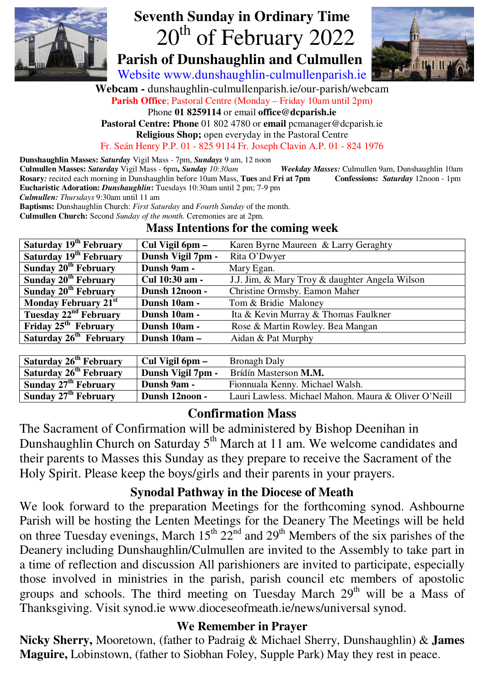

# **Seventh Sunday in Ordinary Time**  20<sup>th</sup> of February 2022

 **Parish of Dunshaughlin and Culmullen** 



Website www.dunshaughlin-culmullenparish.ie

**Webcam -** dunshaughlin-culmullenparish.ie/our-parish/webcam

**Parish Office**; Pastoral Centre (Monday – Friday 10am until 2pm)

Phone **01 8259114** or email **office@dcparish.ie**

**Pastoral Centre: Phone** 01 802 4780 or **email** pcmanager@dcparish.ie

**Religious Shop;** open everyday in the Pastoral Centre

Fr. Seán Henry P.P. 01 - 825 9114 Fr. Joseph Clavin A.P. 01 - 824 1976

**Dunshaughlin Masses:** *Saturday* Vigil Mass - 7pm, *Sundays* 9 am, 12 noon

**Culmullen Masses:** *Saturday* Vigil Mass - 6pm**,** *Sunday 10:30am Weekday Masses:* Culmullen 9am, Dunshaughlin 10am **Rosary***:* recited each morning in Dunshaughlin before 10am Mass, **Tues** and **Fri at 7pm Confessions:** *Saturday* 12noon - 1pm **Eucharistic Adoration:** *Dunshaughlin***:** Tuesdays 10:30am until 2 pm; 7-9 pm

*Culmullen: Thursdays* 9:30am until 11 am

**Baptisms:** Dunshaughlin Church: *First Saturday* and *Fourth Sunday* of the month.

**Culmullen Church:** Second *Sunday of the month.* Ceremonies are at 2pm.

#### **Mass Intentions for the coming week**

| Cul Vigil 6pm –   | Karen Byrne Maureen & Larry Geraghty           |
|-------------------|------------------------------------------------|
| Dunsh Vigil 7pm - | Rita O'Dwyer                                   |
| Dunsh 9am -       | Mary Egan.                                     |
| Cul 10:30 am -    | J.J. Jim, & Mary Troy & daughter Angela Wilson |
| Dunsh 12noon -    | Christine Ormsby. Eamon Maher                  |
| Dunsh 10am -      | Tom & Bridie Maloney                           |
| Dunsh 10am -      | Ita & Kevin Murray & Thomas Faulkner           |
| Dunsh 10am -      | Rose & Martin Rowley. Bea Mangan               |
| Dunsh 10am -      | Aidan & Pat Murphy                             |
|                   |                                                |

| Saturday 26 <sup>th</sup> February | Cul Vigil 6pm –   | <b>Bronagh Daly</b>                                  |
|------------------------------------|-------------------|------------------------------------------------------|
| Saturday 26 <sup>th</sup> February | Dunsh Vigil 7pm - | Brídín Masterson M.M.                                |
| Sunday 27 <sup>th</sup> February   | Dunsh 9am -       | Fionnuala Kenny. Michael Walsh.                      |
| Sunday 27 <sup>th</sup> February   | Dunsh 12noon -    | Lauri Lawless. Michael Mahon. Maura & Oliver O'Neill |

### **Confirmation Mass**

The Sacrament of Confirmation will be administered by Bishop Deenihan in Dunshaughlin Church on Saturday  $5<sup>th</sup>$  March at 11 am. We welcome candidates and their parents to Masses this Sunday as they prepare to receive the Sacrament of the Holy Spirit. Please keep the boys/girls and their parents in your prayers.

### **Synodal Pathway in the Diocese of Meath**

We look forward to the preparation Meetings for the forthcoming synod. Ashbourne Parish will be hosting the Lenten Meetings for the Deanery The Meetings will be held on three Tuesday evenings, March  $15^{th} 22^{nd}$  and  $29^{th}$  Members of the six parishes of the Deanery including Dunshaughlin/Culmullen are invited to the Assembly to take part in a time of reflection and discussion All parishioners are invited to participate, especially those involved in ministries in the parish, parish council etc members of apostolic groups and schools. The third meeting on Tuesday March  $29<sup>th</sup>$  will be a Mass of Thanksgiving. Visit synod.ie www.dioceseofmeath.ie/news/universal synod.

### **We Remember in Prayer**

**Nicky Sherry,** Mooretown, (father to Padraig & Michael Sherry, Dunshaughlin) & **James Maguire,** Lobinstown, (father to Siobhan Foley, Supple Park) May they rest in peace.